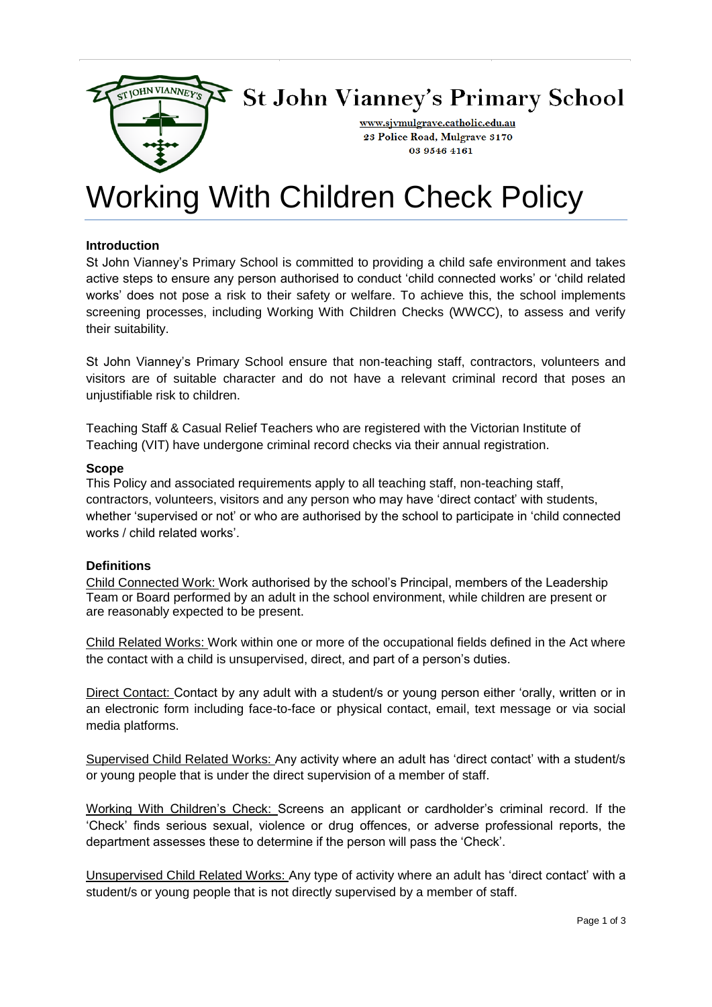

# St John Vianney's Primary School

www.sjvmulgrave.catholic.edu.au 23 Police Road, Mulgrave 3170 03 9546 4161

# Working With Children Check Policy

## **Introduction**

St John Vianney's Primary School is committed to providing a child safe environment and takes active steps to ensure any person authorised to conduct 'child connected works' or 'child related works' does not pose a risk to their safety or welfare. To achieve this, the school implements screening processes, including Working With Children Checks (WWCC), to assess and verify their suitability.

St John Vianney's Primary School ensure that non-teaching staff, contractors, volunteers and visitors are of suitable character and do not have a relevant criminal record that poses an unjustifiable risk to children.

Teaching Staff & Casual Relief Teachers who are registered with the Victorian Institute of Teaching (VIT) have undergone criminal record checks via their annual registration.

### **Scope**

This Policy and associated requirements apply to all teaching staff, non-teaching staff, contractors, volunteers, visitors and any person who may have 'direct contact' with students, whether 'supervised or not' or who are authorised by the school to participate in 'child connected works / child related works'.

### **Definitions**

Child Connected Work: Work authorised by the school's Principal, members of the Leadership Team or Board performed by an adult in the school environment, while children are present or are reasonably expected to be present.

Child Related Works: Work within one or more of the occupational fields defined in the Act where the contact with a child is unsupervised, direct, and part of a person's duties.

Direct Contact: Contact by any adult with a student/s or young person either 'orally, written or in an electronic form including face-to-face or physical contact, email, text message or via social media platforms.

Supervised Child Related Works: Any activity where an adult has 'direct contact' with a student/s or young people that is under the direct supervision of a member of staff.

Working With Children's Check: Screens an applicant or cardholder's criminal record. If the 'Check' finds serious sexual, violence or drug offences, or adverse professional reports, the department assesses these to determine if the person will pass the 'Check'.

Unsupervised Child Related Works: Any type of activity where an adult has 'direct contact' with a student/s or young people that is not directly supervised by a member of staff.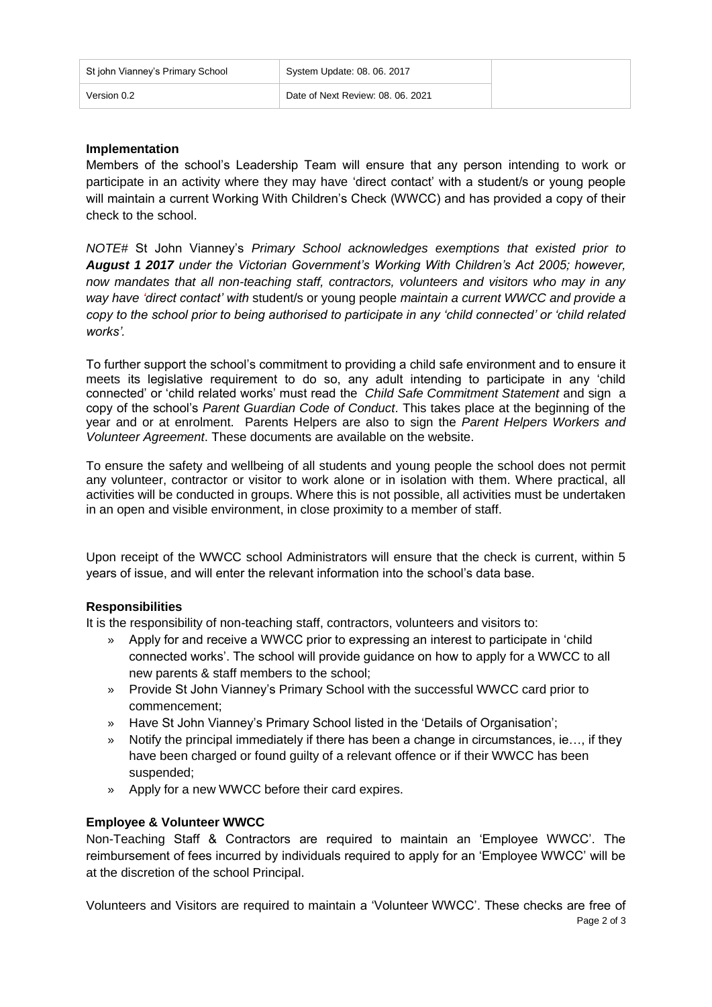| St john Vianney's Primary School | System Update: 08. 06. 2017       |
|----------------------------------|-----------------------------------|
| Version 0.2                      | Date of Next Review: 08, 06, 2021 |

# **Implementation**

Members of the school's Leadership Team will ensure that any person intending to work or participate in an activity where they may have 'direct contact' with a student/s or young people will maintain a current Working With Children's Check (WWCC) and has provided a copy of their check to the school.

*NOTE#* St John Vianney's *Primary School acknowledges exemptions that existed prior to August 1 2017 under the Victorian Government's Working With Children's Act 2005; however, now mandates that all non-teaching staff, contractors, volunteers and visitors who may in any way have 'direct contact' with* student/s or young people *maintain a current WWCC and provide a copy to the school prior to being authorised to participate in any 'child connected' or 'child related works'.*

To further support the school's commitment to providing a child safe environment and to ensure it meets its legislative requirement to do so, any adult intending to participate in any 'child connected' or 'child related works' must read the *Child Safe Commitment Statement* and sign a copy of the school's *Parent Guardian Code of Conduct*. This takes place at the beginning of the year and or at enrolment. Parents Helpers are also to sign the *Parent Helpers Workers and Volunteer Agreement*. These documents are available on the website.

To ensure the safety and wellbeing of all students and young people the school does not permit any volunteer, contractor or visitor to work alone or in isolation with them. Where practical, all activities will be conducted in groups. Where this is not possible, all activities must be undertaken in an open and visible environment, in close proximity to a member of staff.

Upon receipt of the WWCC school Administrators will ensure that the check is current, within 5 years of issue, and will enter the relevant information into the school's data base.

# **Responsibilities**

It is the responsibility of non-teaching staff, contractors, volunteers and visitors to:

- » Apply for and receive a WWCC prior to expressing an interest to participate in 'child connected works'. The school will provide guidance on how to apply for a WWCC to all new parents & staff members to the school;
- » Provide St John Vianney's Primary School with the successful WWCC card prior to commencement;
- » Have St John Vianney's Primary School listed in the 'Details of Organisation';
- » Notify the principal immediately if there has been a change in circumstances, ie…, if they have been charged or found guilty of a relevant offence or if their WWCC has been suspended;
- » Apply for a new WWCC before their card expires.

# **Employee & Volunteer WWCC**

Non-Teaching Staff & Contractors are required to maintain an 'Employee WWCC'. The reimbursement of fees incurred by individuals required to apply for an 'Employee WWCC' will be at the discretion of the school Principal.

Page 2 of 3 Volunteers and Visitors are required to maintain a 'Volunteer WWCC'. These checks are free of